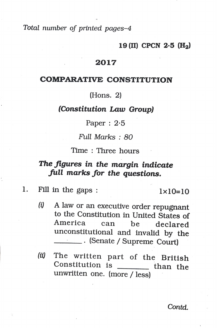Total number of printed pages-4

### 19 (II) CPCN  $2.5$  (H<sub>2</sub>)

## 2017

### COMPARATIVE cONSTITUTION

(Hons. 2)

### (Constitution Law Group)

Paper :  $2.5$ 

Full Marks : 80

Time: Three hours

# The figures in the margin indicate full marks for the questions.

1. Fill in the gaps :  $1 \times 10=10$ 

- (9 A law or an executive order repugnant to the Constitution in United States of America can be declared unconstitutional and invalid by the **Example 2** (Senate / Supreme Court)
- (i) The written part of the British Constitution is  $\rule{1em}{0.15mm}$  than the unwritten one. (more / less)

Contd.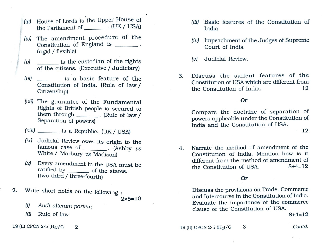- (iii) House of Lords is the Upper House of
- (iv) The amendment procedure of the Constitution of England is (rigid/ flexible)
- (v) is the custodian of the rights  $(v)$  Judicial Review. of the citizens. (Executive / Judiciary)
- Constitution of India. (Rule of law/ Citizenship)
- (vii) The guarantee of the Fundamental  $Orr$ Rights of British people is secured to them through (Rule of law / Separation of powers)
- $(viii)$  is a Republic. (UK / USA) 12
- (ix) Judicial Review owes its origin to the White / Marbury *vs* Madison)
- $(x)$  Every amendment in the USA must be ratified by \_\_\_\_\_\_\_\_\_ of the states. (two-third / three-fourth)
- 2. Write short notes on the following:  $2 \times 5 = 10$ 
	- (0 Audi alteram partem
	- (ii) Rule of law  $8+4=12$

19 (II) CPCN 2.5  $(H_2)/G$  2 2 19 (II) CPCN 2.5  $(H_2)/G$  3 Contd.

- House of Lords is the Upper House of the Constitution of (iii) Basic features of the Constitution of India **Exercí** 
	- (iv) Impeachment of the Judges of Supreme Court of India
	-
- $(vi)$  is a basic feature of the  $(vi)$  3. Discuss the salient features of the Constitution of USA which are different from the Constitution of India. 12

Compare the doctrine of separation of powers applicable under the Constitution of India and the Constitution of USSA.

famous case of  $\qquad \qquad$  (Ashby  $\nu s$  4. Narrate the method of amendment of the Constitution of India. Mention how is it different from the method of amendment of the Constitution of USA.  $8+4=12$ 

### Or

Discuss the provisions on Trade, Commerce and Intercourse in the Constitution of India. Evaluate the importance of the commerce clause of the Constitution of USA.